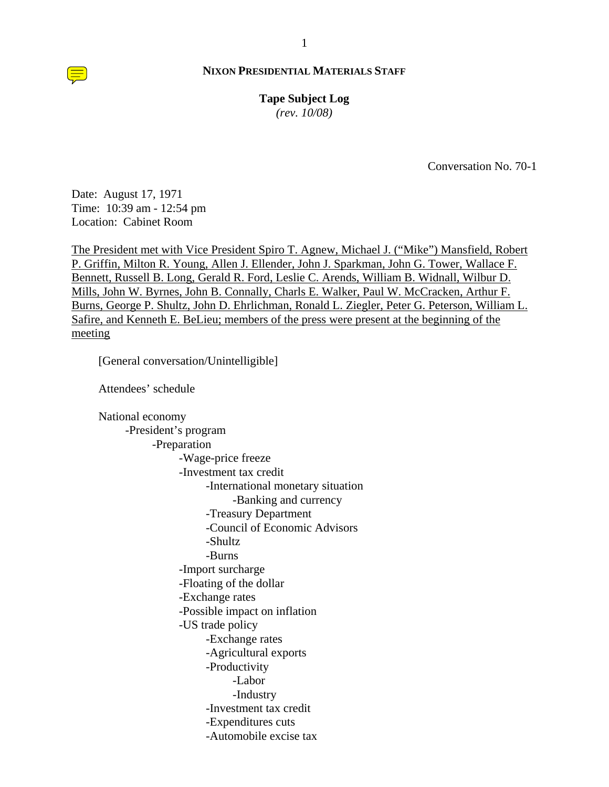**Tape Subject Log** *(rev. 10/08)*

Conversation No. 70-1

Date: August 17, 1971 Time: 10:39 am - 12:54 pm Location: Cabinet Room

The President met with Vice President Spiro T. Agnew, Michael J. ("Mike") Mansfield, Robert P. Griffin, Milton R. Young, Allen J. Ellender, John J. Sparkman, John G. Tower, Wallace F. Bennett, Russell B. Long, Gerald R. Ford, Leslie C. Arends, William B. Widnall, Wilbur D. Mills, John W. Byrnes, John B. Connally, Charls E. Walker, Paul W. McCracken, Arthur F. Burns, George P. Shultz, John D. Ehrlichman, Ronald L. Ziegler, Peter G. Peterson, William L. Safire, and Kenneth E. BeLieu; members of the press were present at the beginning of the meeting

[General conversation/Unintelligible]

Attendees' schedule

 National economy -President's program -Preparation -Wage-price freeze -Investment tax credit -International monetary situation -Banking and currency -Treasury Department -Council of Economic Advisors -Shultz -Burns -Import surcharge -Floating of the dollar -Exchange rates -Possible impact on inflation -US trade policy -Exchange rates -Agricultural exports -Productivity -Labor -Industry -Investment tax credit -Expenditures cuts -Automobile excise tax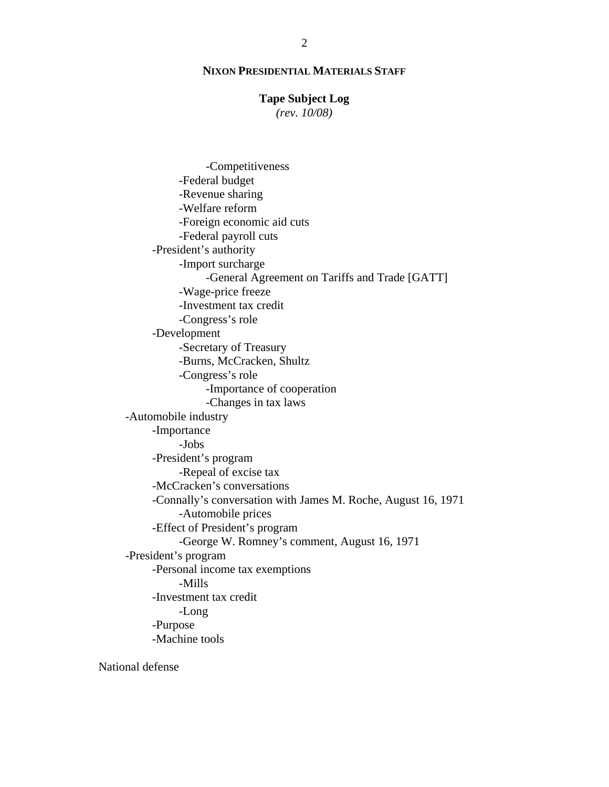# **Tape Subject Log**

*(rev. 10/08)*

 -Competitiveness -Federal budget -Revenue sharing -Welfare reform -Foreign economic aid cuts -Federal payroll cuts -President's authority -Import surcharge -General Agreement on Tariffs and Trade [GATT] -Wage-price freeze -Investment tax credit -Congress's role -Development -Secretary of Treasury -Burns, McCracken, Shultz -Congress's role -Importance of cooperation -Changes in tax laws -Automobile industry -Importance -Jobs -President's program -Repeal of excise tax -McCracken's conversations -Connally's conversation with James M. Roche, August 16, 1971 -Automobile prices -Effect of President's program -George W. Romney's comment, August 16, 1971 -President's program -Personal income tax exemptions -Mills -Investment tax credit -Long -Purpose -Machine tools

National defense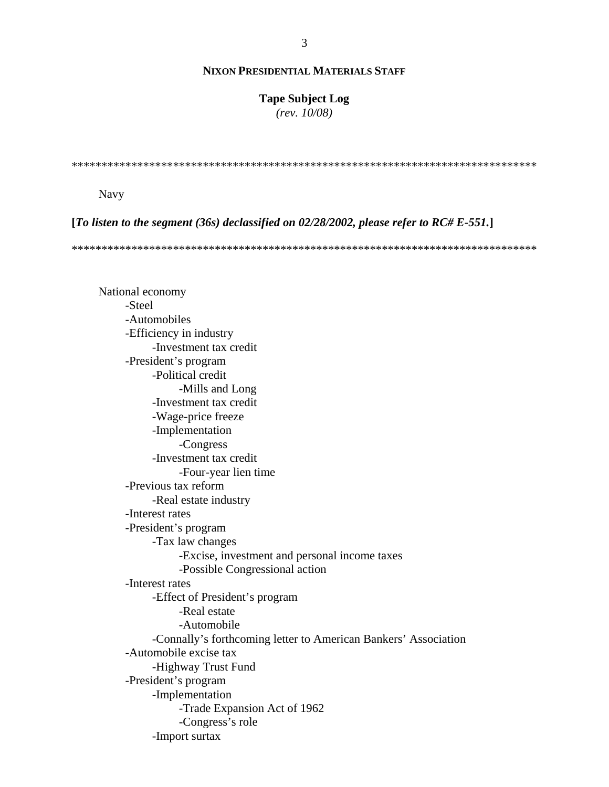## **Tape Subject Log**

 $(rev. 10/08)$ 

**Navy** 

[To listen to the segment (36s) declassified on 02/28/2002, please refer to RC# E-551.]

National economy -Steel -Automobiles -Efficiency in industry -Investment tax credit -President's program -Political credit -Mills and Long -Investment tax credit -Wage-price freeze -Implementation -Congress -Investment tax credit -Four-vear lien time -Previous tax reform -Real estate industry -Interest rates -President's program -Tax law changes -Excise, investment and personal income taxes -Possible Congressional action -Interest rates -Effect of President's program -Real estate -Automobile -Connally's forthcoming letter to American Bankers' Association -Automobile excise tax -Highway Trust Fund -President's program -Implementation -Trade Expansion Act of 1962 -Congress's role -Import surtax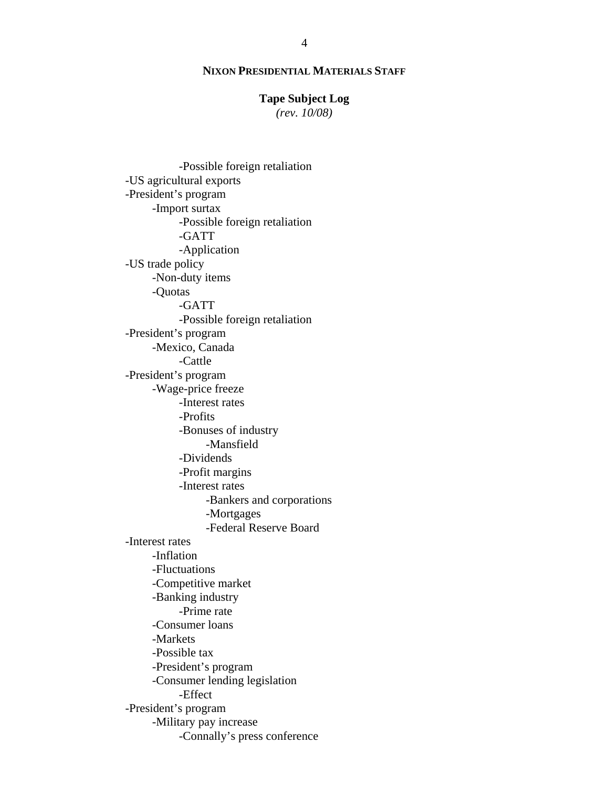# **Tape Subject Log**

*(rev. 10/08)*

 -Possible foreign retaliation -US agricultural exports -President's program -Import surtax -Possible foreign retaliation -GATT -Application -US trade policy -Non-duty items -Quotas -GATT -Possible foreign retaliation -President's program -Mexico, Canada -Cattle -President's program -Wage-price freeze -Interest rates -Profits -Bonuses of industry -Mansfield -Dividends -Profit margins -Interest rates -Bankers and corporations -Mortgages -Federal Reserve Board -Interest rates -Inflation -Fluctuations -Competitive market -Banking industry -Prime rate -Consumer loans -Markets -Possible tax -President's program -Consumer lending legislation -Effect -President's program -Military pay increase -Connally's press conference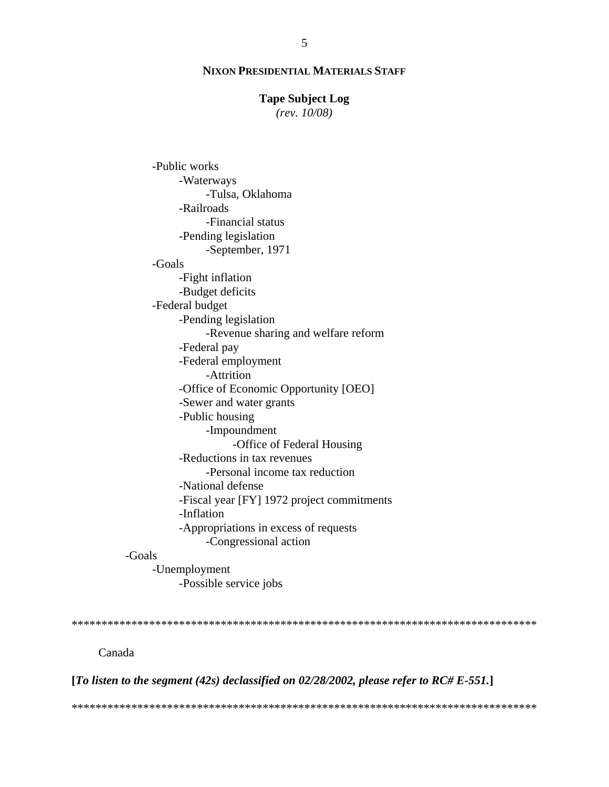#### **Tape Subject Log**

 $(rev. 10/08)$ 

-Public works -Waterways -Tulsa, Oklahoma -Railroads -Financial status -Pending legislation -September, 1971 -Goals -Fight inflation -Budget deficits -Federal budget -Pending legislation -Revenue sharing and welfare reform -Federal pay -Federal employment -Attrition -Office of Economic Opportunity [OEO] -Sewer and water grants -Public housing -Impoundment -Office of Federal Housing -Reductions in tax revenues -Personal income tax reduction -National defense -Fiscal year [FY] 1972 project commitments -Inflation -Appropriations in excess of requests -Congressional action -Goals -Unemployment -Possible service jobs Canada

[To listen to the segment (42s) declassified on 02/28/2002, please refer to RC# E-551.]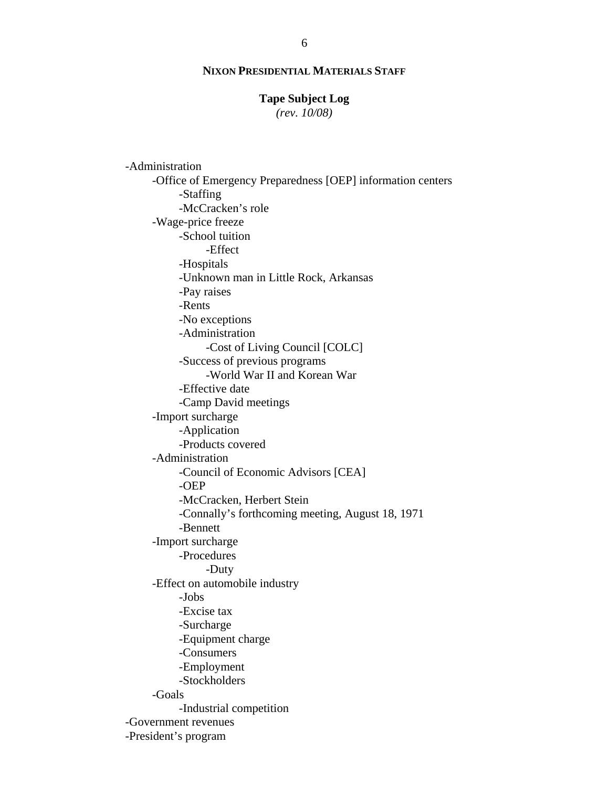# **Tape Subject Log**

*(rev. 10/08)*

 -Administration -Office of Emergency Preparedness [OEP] information centers -Staffing -McCracken's role -Wage-price freeze -School tuition -Effect -Hospitals -Unknown man in Little Rock, Arkansas -Pay raises -Rents -No exceptions -Administration -Cost of Living Council [COLC] -Success of previous programs -World War II and Korean War -Effective date -Camp David meetings -Import surcharge -Application -Products covered -Administration -Council of Economic Advisors [CEA] -OEP -McCracken, Herbert Stein -Connally's forthcoming meeting, August 18, 1971 -Bennett -Import surcharge -Procedures -Duty -Effect on automobile industry -Jobs -Excise tax -Surcharge -Equipment charge -Consumers -Employment -Stockholders -Goals -Industrial competition -Government revenues -President's program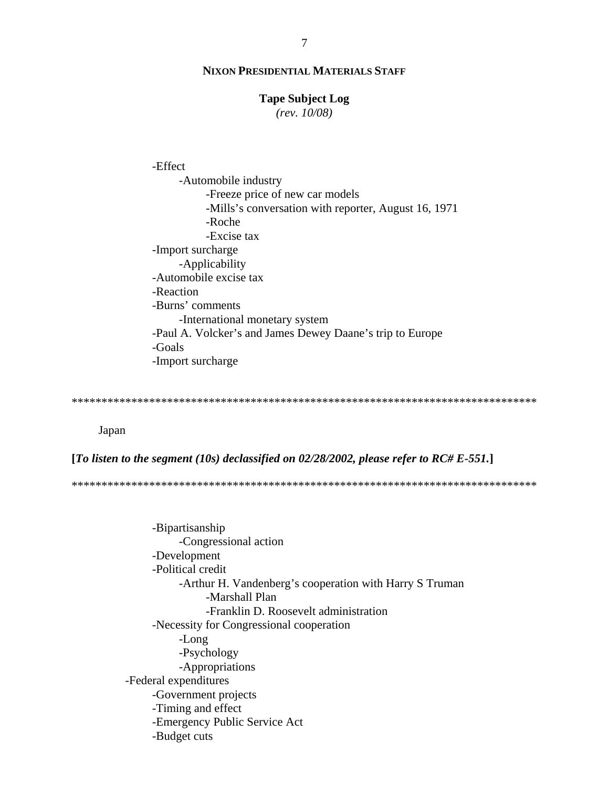#### **Tape Subject Log**

 $(rev. 10/08)$ 

-Effect -Automobile industry -Freeze price of new car models -Mills's conversation with reporter, August 16, 1971 -Roche -Excise tax -Import surcharge -Applicability -Automobile excise tax -Reaction -Burns' comments -International monetary system -Paul A. Volcker's and James Dewey Daane's trip to Europe -Goals -Import surcharge

Japan

[To listen to the segment (10s) declassified on 02/28/2002, please refer to RC# E-551.]

-Bipartisanship -Congressional action -Development -Political credit -Arthur H. Vandenberg's cooperation with Harry S Truman -Marshall Plan -Franklin D. Roosevelt administration -Necessity for Congressional cooperation -Long -Psychology -Appropriations -Federal expenditures -Government projects -Timing and effect -Emergency Public Service Act -Budget cuts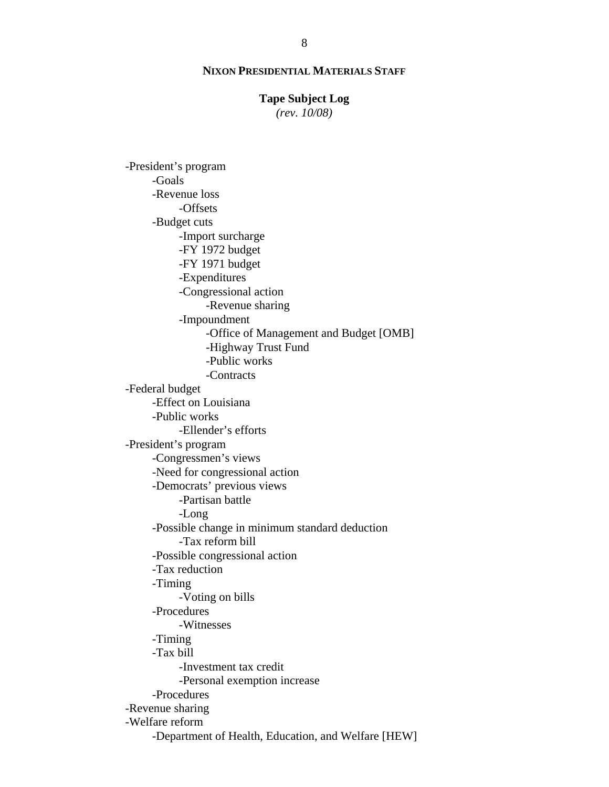## **Tape Subject Log**

*(rev. 10/08)*

 -President's program -Goals -Revenue loss -Offsets -Budget cuts -Import surcharge -FY 1972 budget -FY 1971 budget -Expenditures -Congressional action -Revenue sharing -Impoundment -Office of Management and Budget [OMB] -Highway Trust Fund -Public works -Contracts -Federal budget -Effect on Louisiana -Public works -Ellender's efforts -President's program -Congressmen's views -Need for congressional action -Democrats' previous views -Partisan battle -Long -Possible change in minimum standard deduction -Tax reform bill -Possible congressional action -Tax reduction -Timing -Voting on bills -Procedures -Witnesses -Timing -Tax bill -Investment tax credit -Personal exemption increase -Procedures -Revenue sharing -Welfare reform -Department of Health, Education, and Welfare [HEW]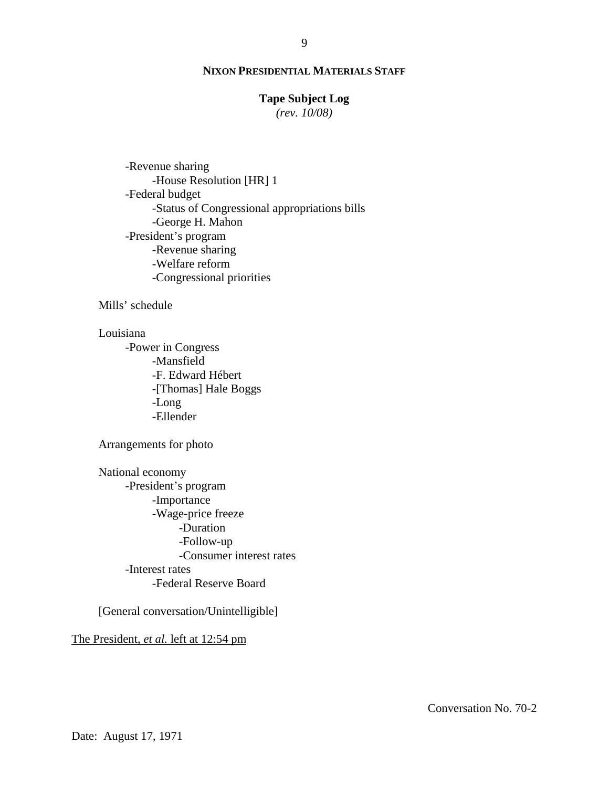# **Tape Subject Log**

*(rev. 10/08)*

 -Revenue sharing -House Resolution [HR] 1 -Federal budget -Status of Congressional appropriations bills -George H. Mahon -President's program -Revenue sharing -Welfare reform -Congressional priorities

Mills' schedule

## Louisiana

 -Power in Congress -Mansfield -F. Edward Hébert -[Thomas] Hale Boggs -Long -Ellender

Arrangements for photo

 National economy -President's program -Importance -Wage-price freeze -Duration -Follow-up -Consumer interest rates -Interest rates -Federal Reserve Board

[General conversation/Unintelligible]

# The President, *et al.* left at 12:54 pm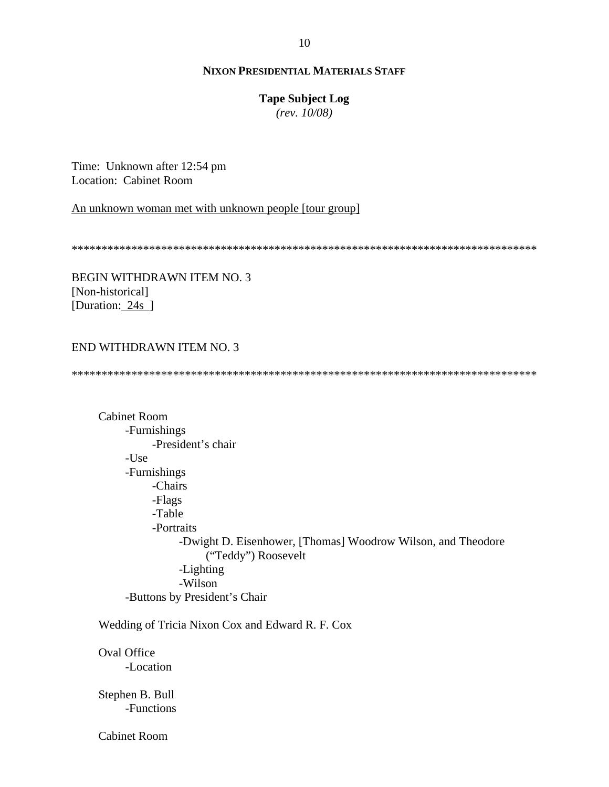# **Tape Subject Log**

*(rev. 10/08)*

Time: Unknown after 12:54 pm Location: Cabinet Room

An unknown woman met with unknown people [tour group]

\*\*\*\*\*\*\*\*\*\*\*\*\*\*\*\*\*\*\*\*\*\*\*\*\*\*\*\*\*\*\*\*\*\*\*\*\*\*\*\*\*\*\*\*\*\*\*\*\*\*\*\*\*\*\*\*\*\*\*\*\*\*\*\*\*\*\*\*\*\*\*\*\*\*\*\*\*\*

BEGIN WITHDRAWN ITEM NO. 3 [Non-historical] [Duration: 24s ]

# END WITHDRAWN ITEM NO. 3

\*\*\*\*\*\*\*\*\*\*\*\*\*\*\*\*\*\*\*\*\*\*\*\*\*\*\*\*\*\*\*\*\*\*\*\*\*\*\*\*\*\*\*\*\*\*\*\*\*\*\*\*\*\*\*\*\*\*\*\*\*\*\*\*\*\*\*\*\*\*\*\*\*\*\*\*\*\*

 Cabinet Room -Furnishings -President's chair -Use -Furnishings -Chairs -Flags -Table -Portraits -Dwight D. Eisenhower, [Thomas] Woodrow Wilson, and Theodore ("Teddy") Roosevelt -Lighting -Wilson -Buttons by President's Chair

Wedding of Tricia Nixon Cox and Edward R. F. Cox

 Oval Office -Location

 Stephen B. Bull -Functions

Cabinet Room